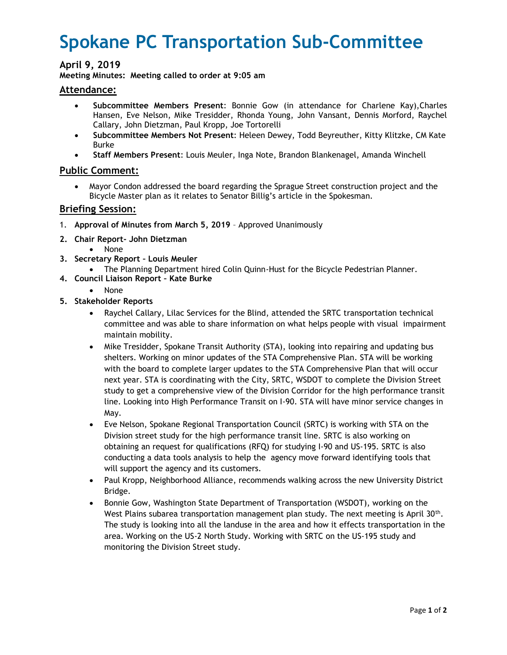# **Spokane PC Transportation Sub-Committee**

## **April 9, 2019**

**Meeting Minutes: Meeting called to order at 9:05 am**

#### **Attendance:**

- **Subcommittee Members Present**: Bonnie Gow (in attendance for Charlene Kay),Charles Hansen, Eve Nelson, Mike Tresidder, Rhonda Young, John Vansant, Dennis Morford, Raychel Callary, John Dietzman, Paul Kropp, Joe Tortorelli
- **Subcommittee Members Not Present**: Heleen Dewey, Todd Beyreuther, Kitty Klitzke, CM Kate Burke
- **Staff Members Present**: Louis Meuler, Inga Note, Brandon Blankenagel, Amanda Winchell

## **Public Comment:**

 Mayor Condon addressed the board regarding the Sprague Street construction project and the Bicycle Master plan as it relates to Senator Billig's article in the Spokesman.

#### **Briefing Session:**

- 1. **Approval of Minutes from March 5, 2019** Approved Unanimously
- **2. Chair Report- John Dietzman**
	- None
- **3. Secretary Report – Louis Meuler**
	- The Planning Department hired Colin Quinn-Hust for the Bicycle Pedestrian Planner.
- **4. Council Liaison Report – Kate Burke**
	- None
- **5. Stakeholder Reports**
	- Raychel Callary, Lilac Services for the Blind, attended the SRTC transportation technical committee and was able to share information on what helps people with visual impairment maintain mobility.
	- Mike Tresidder, Spokane Transit Authority (STA), looking into repairing and updating bus shelters. Working on minor updates of the STA Comprehensive Plan. STA will be working with the board to complete larger updates to the STA Comprehensive Plan that will occur next year. STA is coordinating with the City, SRTC, WSDOT to complete the Division Street study to get a comprehensive view of the Division Corridor for the high performance transit line. Looking into High Performance Transit on I-90. STA will have minor service changes in May.
	- Eve Nelson, Spokane Regional Transportation Council (SRTC) is working with STA on the Division street study for the high performance transit line. SRTC is also working on obtaining an request for qualifications (RFQ) for studying I-90 and US-195. SRTC is also conducting a data tools analysis to help the agency move forward identifying tools that will support the agency and its customers.
	- Paul Kropp, Neighborhood Alliance, recommends walking across the new University District Bridge.
	- Bonnie Gow, Washington State Department of Transportation (WSDOT), working on the West Plains subarea transportation management plan study. The next meeting is April 30<sup>th</sup>. The study is looking into all the landuse in the area and how it effects transportation in the area. Working on the US-2 North Study. Working with SRTC on the US-195 study and monitoring the Division Street study.